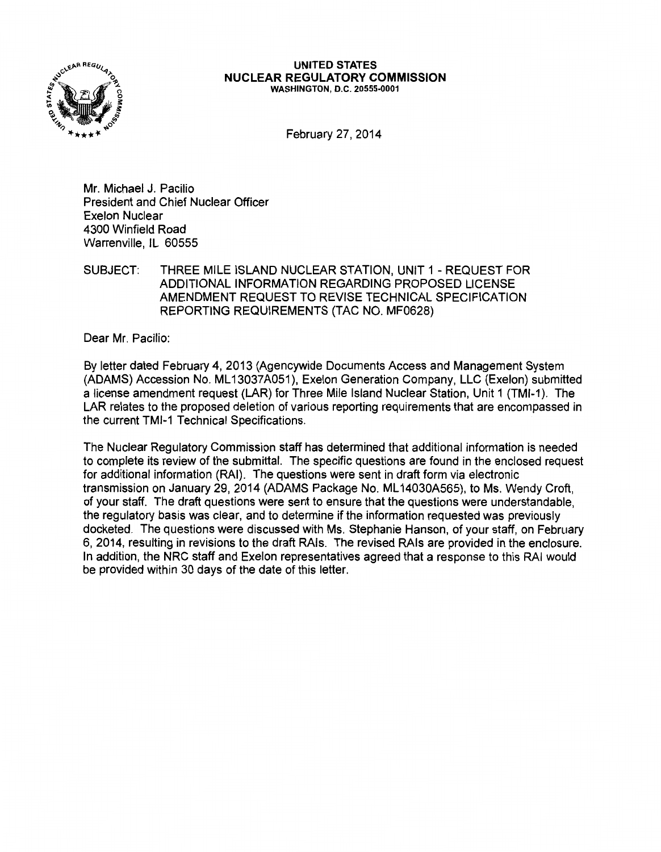

#### UNITED STATES NUCLEAR REGULATORY COMMISSION WASHINGTON, D.C. 20555-0001

February 27, 2014

Mr. Michael J. Pacilio President and Chief Nuclear Officer Exelon Nuclear 4300 Winfield Road Warrenville, IL 60555

### SUBJECT: THREE MILE ISLAND NUCLEAR STATION, UNIT 1- REQUEST FOR ADDITIONAL INFORMATION REGARDING PROPOSED LICENSE AMENDMENT REQUEST TO REVISE TECHNICAL SPECIFICATION REPORTING REQUIREMENTS (TAC NO. MF0628)

Dear Mr. Pacilio:

By letter dated February 4, 2013 (Agencywide Documents Access and Management System (ADAMS) Accession No. ML 13037A051), Exelon Generation Company, LLC (Exelon) submitted a license amendment request (LAR) for Three Mile Island Nuclear Station, Unit 1 (TMI-1 ). The LAR relates to the proposed deletion of various reporting requirements that are encompassed in the current TMI-1 Technical Specifications.

The Nuclear Regulatory Commission staff has determined that additional information is needed to complete its review of the submittal. The specific questions are found in the enclosed request for additional information (RAI). The questions were sent in draft form via electronic transmission on January 29, 2014 (ADAMS Package No. ML 14030A565), to Ms. Wendy Croft, of your staff. The draft questions were sent to ensure that the questions were understandable, the regulatory basis was clear, and to determine if the information requested was previously docketed. The questions were discussed with Ms. Stephanie Hanson, of your staff, on February 6, 2014, resulting in revisions to the draft RAis. The revised RAis are provided in the enclosure. In addition, the NRC staff and Exelon representatives agreed that a response to this RAI would be provided within 30 days of the date of this letter.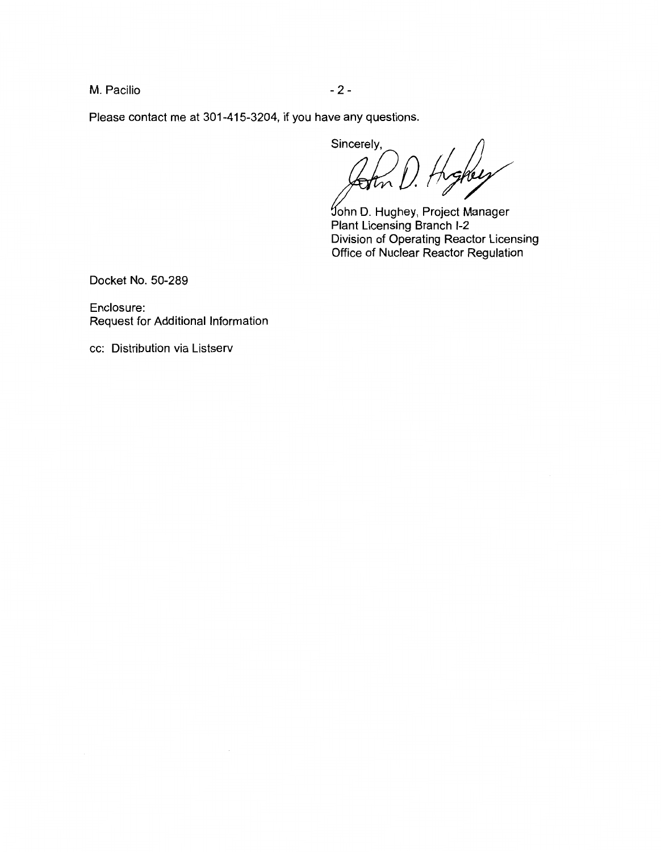M. Pacilio  $-2-$ 

Please contact me at 301-415-3204, if you have any questions.

Sincerely, /<br>hghuy *0* 

ohn D. Hughey, Project Manager Plant Licensing Branch 1-2 Division of Operating Reactor Licensing Office of Nuclear Reactor Regulation

Docket No. 50-289

Enclosure: Request for Additional Information

cc: Distribution via Listserv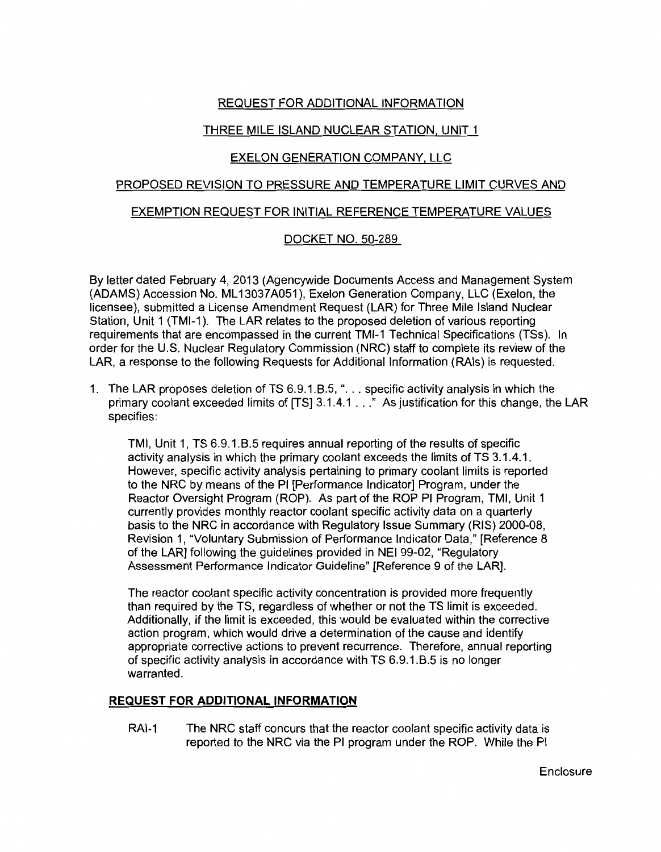# REQUEST FOR ADDITIONAL INFORMATION

# THREE MILE ISLAND NUCLEAR STATION, UNIT 1

## EXELON GENERATION COMPANY, LLC

### PROPOSED REVISION TO PRESSURE AND TEMPERATURE LIMIT CURVES AND

#### EXEMPTION REQUEST FOR INITIAL REFERENCE TEMPERATURE VALUES

### DOCKET NO. 50-289

By letter dated February 4, 2013 (Agencywide Documents Access and Management System (ADAMS) Accession No. ML 13037 A051 ), Exelon Generation Company, LLC (Exelon, the licensee), submitted a License Amendment Request (LAR) for Three Mile Island Nuclear Station, Unit 1 (TMI-1 ). The LAR relates to the proposed deletion of various reporting requirements that are encompassed in the current TMI-1 Technical Specifications (TSs). In order for the U.S. Nuclear Regulatory Commission (NRC) staff to complete its review of the LAR, a response to the following Requests for Additional Information (RAis) is requested.

1. The LAR proposes deletion of TS 6.9.1.8.5, " ... specific activity analysis in which the primary coolant exceeded limits of [TS] 3.1.4.1 ... " As justification for this change, the LAR specifies:

TMI, Unit 1, TS 6.9.1.8.5 requires annual reporting of the results of specific activity analysis in which the primary coolant exceeds the limits of TS 3.1.4.1. However, specific activity analysis pertaining to primary coolant limits is reported to the NRC by means of the PI [Performance Indicator] Program, under the Reactor Oversight Program (ROP). As part of the ROP PI Program, TMI, Unit 1 currently provides monthly reactor coolant specific activity data on a quarterly basis to the NRC in accordance with Regulatory Issue Summary (RIS) 2000-08, Revision 1, "Voluntary Submission of Performance Indicator Data," [Reference 8 of the LAR] following the guidelines provided in NEI 99-02, "Regulatory Assessment Performance Indicator Guideline" [Reference 9 of the LAR].

The reactor coolant specific activity concentration is provided more frequently than required by the TS, regardless of whether or not the TS limit is exceeded. Additionally, if the limit is exceeded, this would be evaluated within the corrective action program, which would drive a determination of the cause and identify appropriate corrective actions to prevent recurrence. Therefore, annual reporting of specific activity analysis in accordance with TS 6.9.1.8.5 is no longer warranted.

### **REQUEST FOR ADDITIONAL INFORMATION**

RAI-1 The NRC staff concurs that the reactor coolant specific activity data is reported to the NRC via the PI program under the ROP. While the PI

**Enclosure**